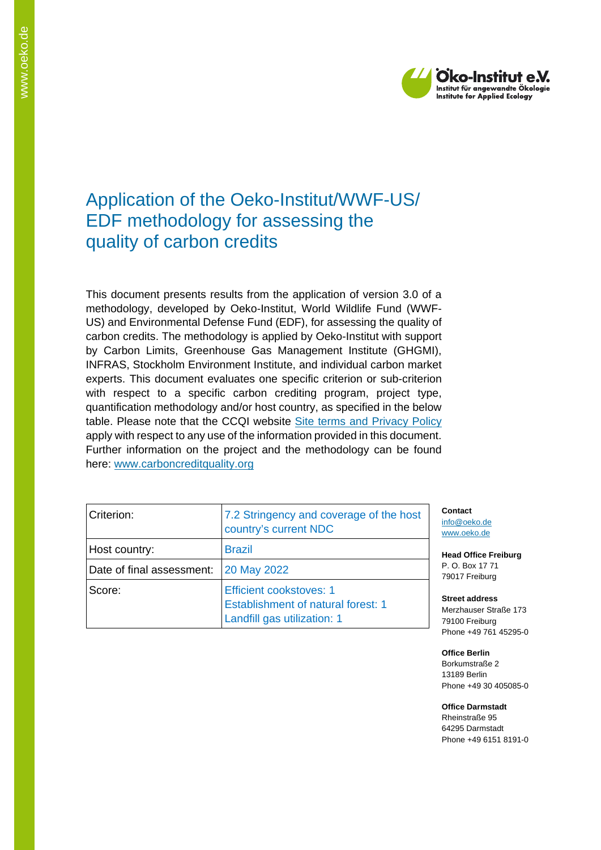

## Application of the Oeko-Institut/WWF-US/ EDF methodology for assessing the quality of carbon credits

This document presents results from the application of version 3.0 of a methodology, developed by Oeko-Institut, World Wildlife Fund (WWF-US) and Environmental Defense Fund (EDF), for assessing the quality of carbon credits. The methodology is applied by Oeko-Institut with support by Carbon Limits, Greenhouse Gas Management Institute (GHGMI), INFRAS, Stockholm Environment Institute, and individual carbon market experts. This document evaluates one specific criterion or sub-criterion with respect to a specific carbon crediting program, project type, quantification methodology and/or host country, as specified in the below table. Please note that the CCQI website [Site terms and Privacy Policy](https://carboncreditquality.org/terms.html) apply with respect to any use of the information provided in this document. Further information on the project and the methodology can be found here: [www.carboncreditquality.org](http://www.carboncreditquality.org/)

| Criterion:                | 7.2 Stringency and coverage of the host<br>country's current NDC                                           |
|---------------------------|------------------------------------------------------------------------------------------------------------|
| Host country:             | <b>Brazil</b>                                                                                              |
| Date of final assessment: | <b>20 May 2022</b>                                                                                         |
| Score:                    | <b>Efficient cookstoves: 1</b><br><b>Establishment of natural forest: 1</b><br>Landfill gas utilization: 1 |

**Contact** [info@oeko.de](mailto:info@oeko.de) [www.oeko.de](http://www.oeko.de/)

**Head Office Freiburg** P. O. Box 17 71 79017 Freiburg

**Street address** Merzhauser Straße 173 79100 Freiburg Phone +49 761 45295-0

**Office Berlin** Borkumstraße 2 13189 Berlin Phone +49 30 405085-0

**Office Darmstadt** Rheinstraße 95 64295 Darmstadt Phone +49 6151 8191-0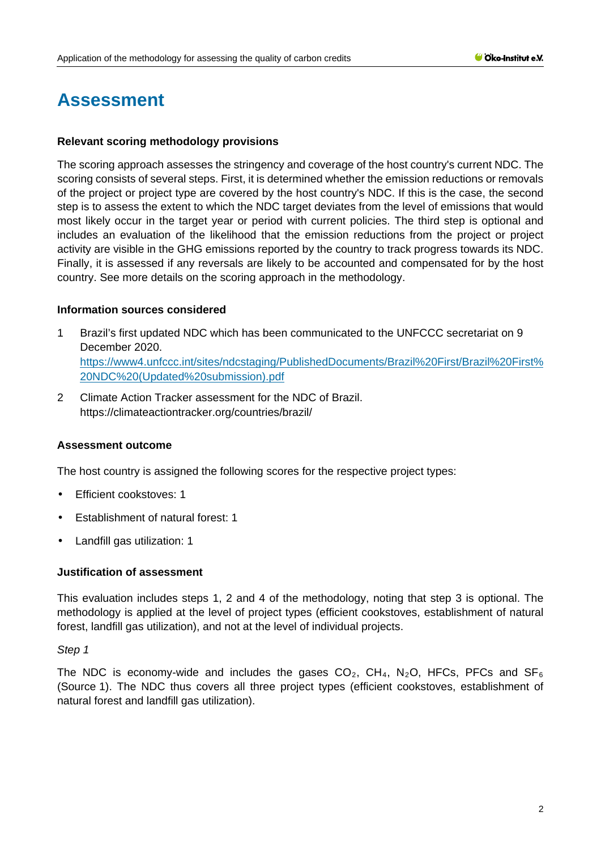# **Assessment**

#### **Relevant scoring methodology provisions**

The scoring approach assesses the stringency and coverage of the host country's current NDC. The scoring consists of several steps. First, it is determined whether the emission reductions or removals of the project or project type are covered by the host country's NDC. If this is the case, the second step is to assess the extent to which the NDC target deviates from the level of emissions that would most likely occur in the target year or period with current policies. The third step is optional and includes an evaluation of the likelihood that the emission reductions from the project or project activity are visible in the GHG emissions reported by the country to track progress towards its NDC. Finally, it is assessed if any reversals are likely to be accounted and compensated for by the host country. See more details on the scoring approach in the methodology.

#### **Information sources considered**

- 1 Brazil's first updated NDC which has been communicated to the UNFCCC secretariat on 9 December 2020. [https://www4.unfccc.int/sites/ndcstaging/PublishedDocuments/Brazil%20First/Brazil%20First%](https://www4.unfccc.int/sites/ndcstaging/PublishedDocuments/Brazil%20First/Brazil%20First%20NDC%20(Updated%20submission).pdf) [20NDC%20\(Updated%20submission\).pdf](https://www4.unfccc.int/sites/ndcstaging/PublishedDocuments/Brazil%20First/Brazil%20First%20NDC%20(Updated%20submission).pdf)
- 2 Climate Action Tracker assessment for the NDC of Brazil. <https://climateactiontracker.org/countries/brazil/>

### **Assessment outcome**

The host country is assigned the following scores for the respective project types:

- t. Efficient cookstoves: 1
- Establishment of natural forest: 1
- Landfill gas utilization: 1

#### **Justification of assessment**

This evaluation includes steps 1, 2 and 4 of the methodology, noting that step 3 is optional. The methodology is applied at the level of project types (efficient cookstoves, establishment of natural forest, landfill gas utilization), and not at the level of individual projects.

#### *Step 1*

The NDC is economy-wide and includes the gases  $CO_2$ ,  $CH_4$ , N<sub>2</sub>O, HFCs, PFCs and SF<sub>6</sub> (Source 1). The NDC thus covers all three project types (efficient cookstoves, establishment of natural forest and landfill gas utilization).